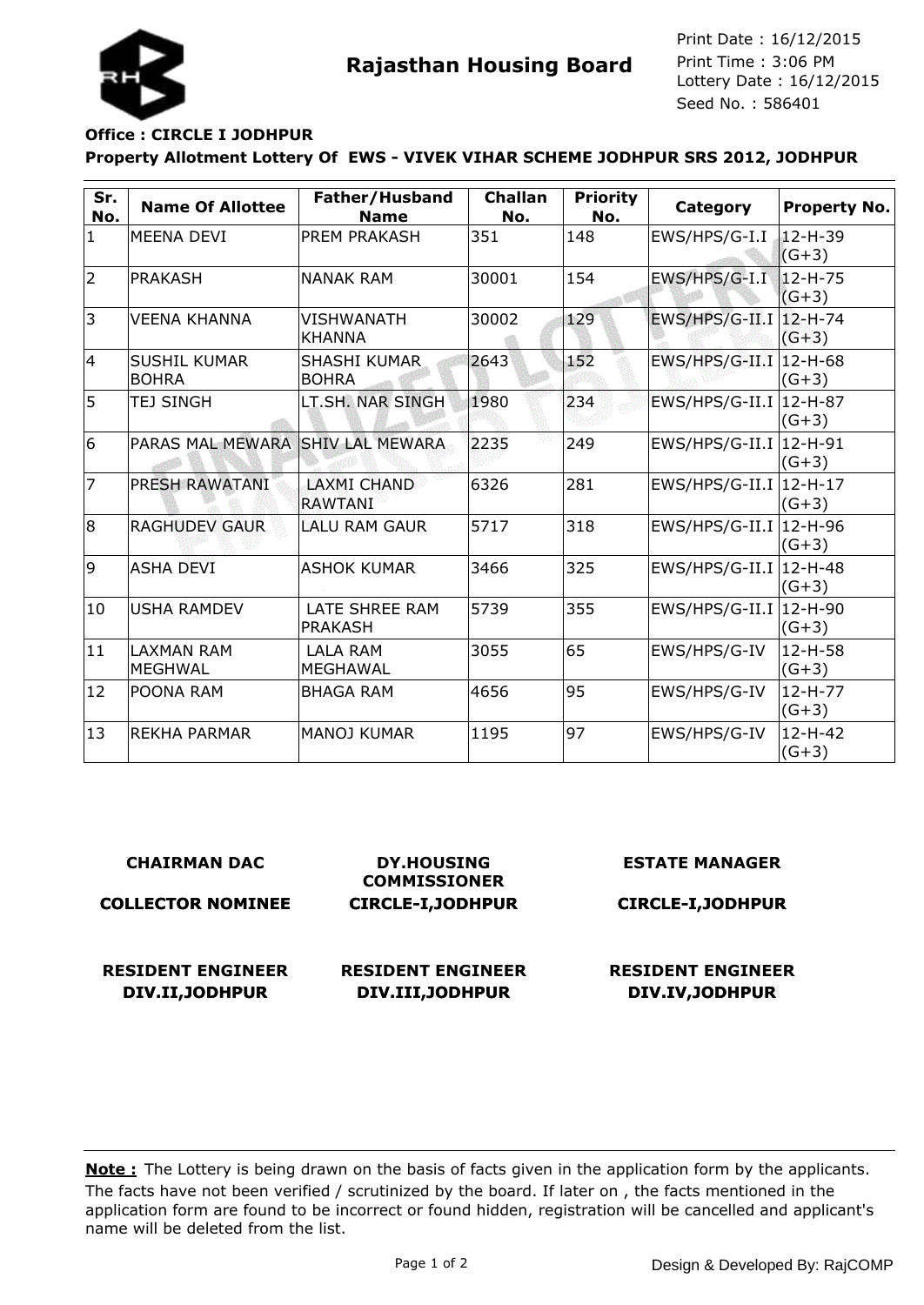

**Rajasthan Housing Board** Print Time : 3:06 PM<br>Lottery Date : 16/12/2015 Seed No. : 586401 Print Date : 16/12/2015 Print Time : 3:06 PM

## **Office : CIRCLE I JODHPUR**

## **Property Allotment Lottery Of EWS - VIVEK VIHAR SCHEME JODHPUR SRS 2012, JODHPUR**

| Sr.<br>No.     | <b>Name Of Allottee</b>             | Father/Husband<br><b>Name</b>        | <b>Challan</b><br>No. | <b>Priority</b><br>No. | Category                 | Property No.             |
|----------------|-------------------------------------|--------------------------------------|-----------------------|------------------------|--------------------------|--------------------------|
| $\mathbf{1}$   | <b>MEENA DEVI</b>                   | <b>PREM PRAKASH</b>                  | 351                   | 148                    | EWS/HPS/G-I.I            | $12 - H - 39$<br>$(G+3)$ |
| $\overline{2}$ | <b>PRAKASH</b>                      | <b>NANAK RAM</b>                     | 30001                 | 154                    | EWS/HPS/G-I.I            | 12-H-75<br>$(G+3)$       |
| 3              | <b>VEENA KHANNA</b>                 | VISHWANATH<br><b>KHANNA</b>          | 30002                 | 129                    | $EWS/HPS/G-III.1$        | $12 - H - 74$<br>$(G+3)$ |
| 4              | <b>SUSHIL KUMAR</b><br><b>BOHRA</b> | <b>SHASHI KUMAR</b><br><b>BOHRA</b>  | 2643                  | 152                    | $EWS/HPS/G-III.1$        | $12-H-68$<br>$(G+3)$     |
| 5              | <b>TEJ SINGH</b>                    | LT.SH. NAR SINGH                     | 1980                  | 234                    | $EWS/HPS/G-II.I$         | 12-H-87<br>$(G+3)$       |
| 6              | PARAS MAL MEWARA SHIV LAL MEWARA    |                                      | 2235                  | 249                    | $EWS/HPS/G-II.I$         | 12-H-91<br>$(G+3)$       |
| $\overline{7}$ | <b>PRESH RAWATANI</b>               | <b>LAXMI CHAND</b><br><b>RAWTANI</b> | 6326                  | 281                    | EWS/HPS/G-II.I   12-H-17 | $(G+3)$                  |
| $\overline{8}$ | <b>RAGHUDEV GAUR</b>                | <b>LALU RAM GAUR</b>                 | 5717                  | 318                    | $EWS/HPS/G-II.I$         | 12-H-96<br>$(G+3)$       |
| 9              | <b>ASHA DEVI</b>                    | <b>ASHOK KUMAR</b>                   | 3466                  | 325                    | $EWS/HPS/G-II.I$         | 12-H-48<br>$(G+3)$       |
| 10             | <b>USHA RAMDEV</b>                  | LATE SHREE RAM<br><b>PRAKASH</b>     | 5739                  | 355                    | EWS/HPS/G-II.I 12-H-90   | $(G+3)$                  |
| 11             | <b>LAXMAN RAM</b><br><b>MEGHWAL</b> | <b>LALA RAM</b><br><b>MEGHAWAL</b>   | 3055                  | 65                     | EWS/HPS/G-IV             | 12-H-58<br>$(G+3)$       |
| 12             | POONA RAM                           | <b>BHAGA RAM</b>                     | 4656                  | 95                     | EWS/HPS/G-IV             | $12-H-77$<br>$(G+3)$     |
| 13             | <b>REKHA PARMAR</b>                 | <b>MANOJ KUMAR</b>                   | 1195                  | 97                     | EWS/HPS/G-IV             | $12 - H - 42$<br>$(G+3)$ |

| <b>CHAIRMAN DAC</b>      | <b>DY.HOUSING</b><br><b>COMMISSIONER</b> | <b>ESTATE MANAGER</b>    |
|--------------------------|------------------------------------------|--------------------------|
| <b>COLLECTOR NOMINEE</b> | <b>CIRCLE-I, JODHPUR</b>                 | <b>CIRCLE-I, JODHPUR</b> |
| <b>RESIDENT ENGINEER</b> | <b>RESIDENT ENGINEER</b>                 | <b>RESIDENT ENGINEER</b> |
| DIV.II, JODHPUR          | DIV.III, JODHPUR                         | DIV.IV, JODHPUR          |

The facts have not been verified / scrutinized by the board. If later on , the facts mentioned in the application form are found to be incorrect or found hidden, registration will be cancelled and applicant's name will be deleted from the list. **Note:** The Lottery is being drawn on the basis of facts given in the application form by the applicants.